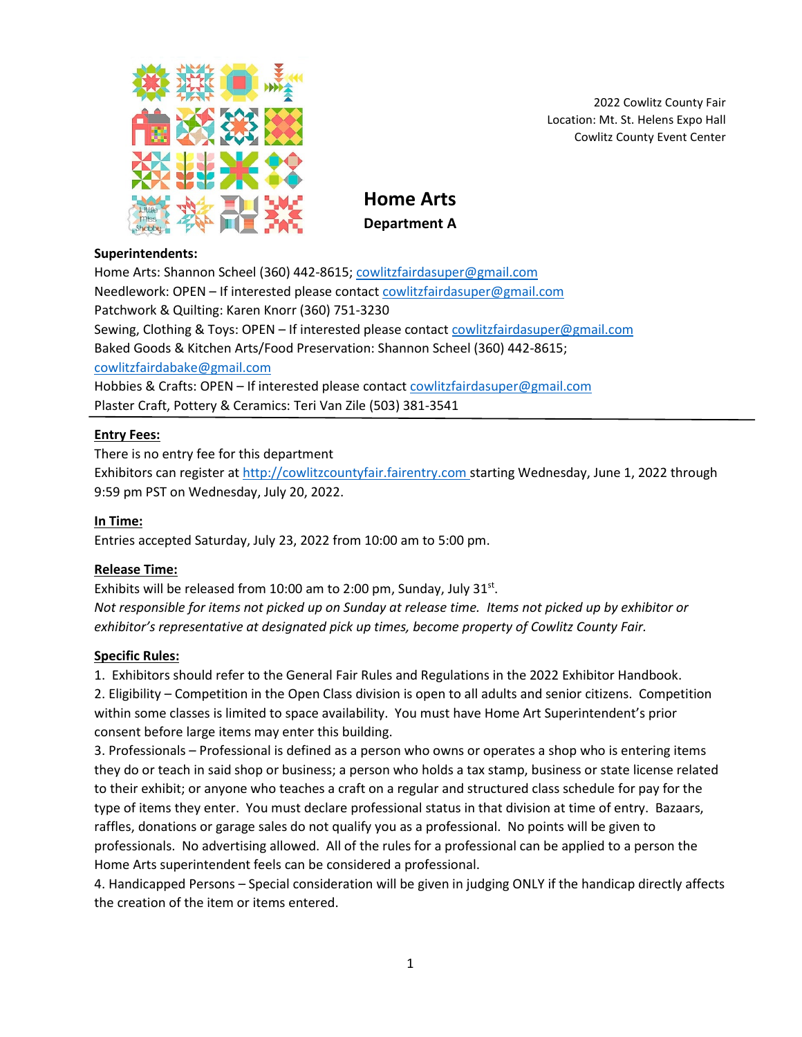

2022 Cowlitz County Fair Location: Mt. St. Helens Expo Hall Cowlitz County Event Center

**Home Arts Department A**

### **Superintendents:**

Home Arts: Shannon Scheel (360) 442-8615; [cowlitzfairdasuper@gmail.com](mailto:cowlitzfairdasuper@gmail.com) Needlework: OPEN – If interested please contact [cowlitzfairdasuper@gmail.com](mailto:cowlitzfairdasuper@gmail.com) Patchwork & Quilting: Karen Knorr (360) 751-3230 Sewing, Clothing & Toys: OPEN – If interested please contact [cowlitzfairdasuper@gmail.com](mailto:cowlitzfairdasuper@gmail.com) Baked Goods & Kitchen Arts/Food Preservation: Shannon Scheel (360) 442-8615; [cowlitzfairdabake@gmail.com](mailto:cowlitzfairdabake@gmail.com) Hobbies & Crafts: OPEN – If interested please contact [cowlitzfairdasuper@gmail.com](mailto:cowlitzfairdasuper@gmail.com) Plaster Craft, Pottery & Ceramics: Teri Van Zile (503) 381-3541

## **Entry Fees:**

There is no entry fee for this department

Exhibitors can register at [http://cowlitzcountyfair.fairentry.com](http://cowlitzcountyfair.fairentry.com/) starting Wednesday, June 1, 2022 through 9:59 pm PST on Wednesday, July 20, 2022.

### **In Time:**

Entries accepted Saturday, July 23, 2022 from 10:00 am to 5:00 pm.

## **Release Time:**

Exhibits will be released from 10:00 am to 2:00 pm, Sunday, July  $31^{st}$ . *Not responsible for items not picked up on Sunday at release time. Items not picked up by exhibitor or exhibitor's representative at designated pick up times, become property of Cowlitz County Fair.*

### **Specific Rules:**

1. Exhibitors should refer to the General Fair Rules and Regulations in the 2022 Exhibitor Handbook.

2. Eligibility – Competition in the Open Class division is open to all adults and senior citizens. Competition within some classes is limited to space availability. You must have Home Art Superintendent's prior consent before large items may enter this building.

3. Professionals – Professional is defined as a person who owns or operates a shop who is entering items they do or teach in said shop or business; a person who holds a tax stamp, business or state license related to their exhibit; or anyone who teaches a craft on a regular and structured class schedule for pay for the type of items they enter. You must declare professional status in that division at time of entry. Bazaars, raffles, donations or garage sales do not qualify you as a professional. No points will be given to professionals. No advertising allowed. All of the rules for a professional can be applied to a person the Home Arts superintendent feels can be considered a professional.

4. Handicapped Persons – Special consideration will be given in judging ONLY if the handicap directly affects the creation of the item or items entered.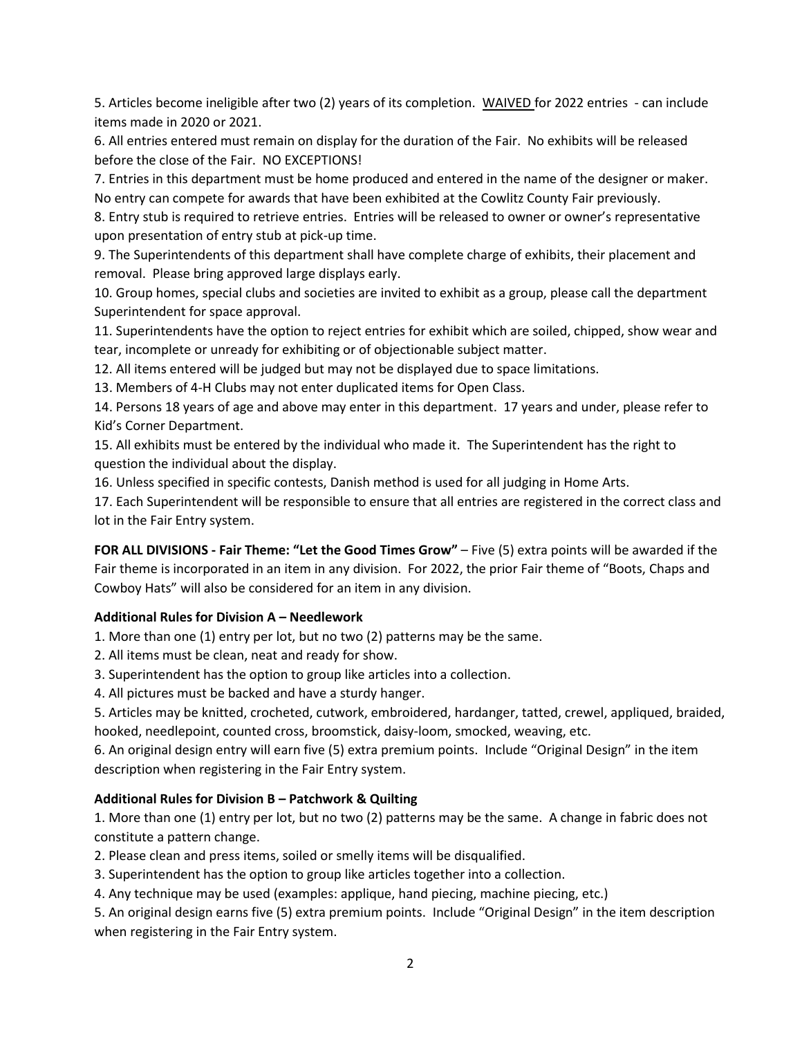5. Articles become ineligible after two (2) years of its completion. WAIVED for 2022 entries - can include items made in 2020 or 2021.

6. All entries entered must remain on display for the duration of the Fair. No exhibits will be released before the close of the Fair. NO EXCEPTIONS!

7. Entries in this department must be home produced and entered in the name of the designer or maker. No entry can compete for awards that have been exhibited at the Cowlitz County Fair previously.

8. Entry stub is required to retrieve entries. Entries will be released to owner or owner's representative upon presentation of entry stub at pick-up time.

9. The Superintendents of this department shall have complete charge of exhibits, their placement and removal. Please bring approved large displays early.

10. Group homes, special clubs and societies are invited to exhibit as a group, please call the department Superintendent for space approval.

11. Superintendents have the option to reject entries for exhibit which are soiled, chipped, show wear and tear, incomplete or unready for exhibiting or of objectionable subject matter.

12. All items entered will be judged but may not be displayed due to space limitations.

13. Members of 4-H Clubs may not enter duplicated items for Open Class.

14. Persons 18 years of age and above may enter in this department. 17 years and under, please refer to Kid's Corner Department.

15. All exhibits must be entered by the individual who made it. The Superintendent has the right to question the individual about the display.

16. Unless specified in specific contests, Danish method is used for all judging in Home Arts.

17. Each Superintendent will be responsible to ensure that all entries are registered in the correct class and lot in the Fair Entry system.

**FOR ALL DIVISIONS - Fair Theme: "Let the Good Times Grow"** – Five (5) extra points will be awarded if the Fair theme is incorporated in an item in any division. For 2022, the prior Fair theme of "Boots, Chaps and Cowboy Hats" will also be considered for an item in any division.

# **Additional Rules for Division A – Needlework**

1. More than one (1) entry per lot, but no two (2) patterns may be the same.

2. All items must be clean, neat and ready for show.

3. Superintendent has the option to group like articles into a collection.

4. All pictures must be backed and have a sturdy hanger.

5. Articles may be knitted, crocheted, cutwork, embroidered, hardanger, tatted, crewel, appliqued, braided, hooked, needlepoint, counted cross, broomstick, daisy-loom, smocked, weaving, etc.

6. An original design entry will earn five (5) extra premium points. Include "Original Design" in the item description when registering in the Fair Entry system.

## **Additional Rules for Division B – Patchwork & Quilting**

1. More than one (1) entry per lot, but no two (2) patterns may be the same. A change in fabric does not constitute a pattern change.

2. Please clean and press items, soiled or smelly items will be disqualified.

3. Superintendent has the option to group like articles together into a collection.

4. Any technique may be used (examples: applique, hand piecing, machine piecing, etc.)

5. An original design earns five (5) extra premium points. Include "Original Design" in the item description when registering in the Fair Entry system.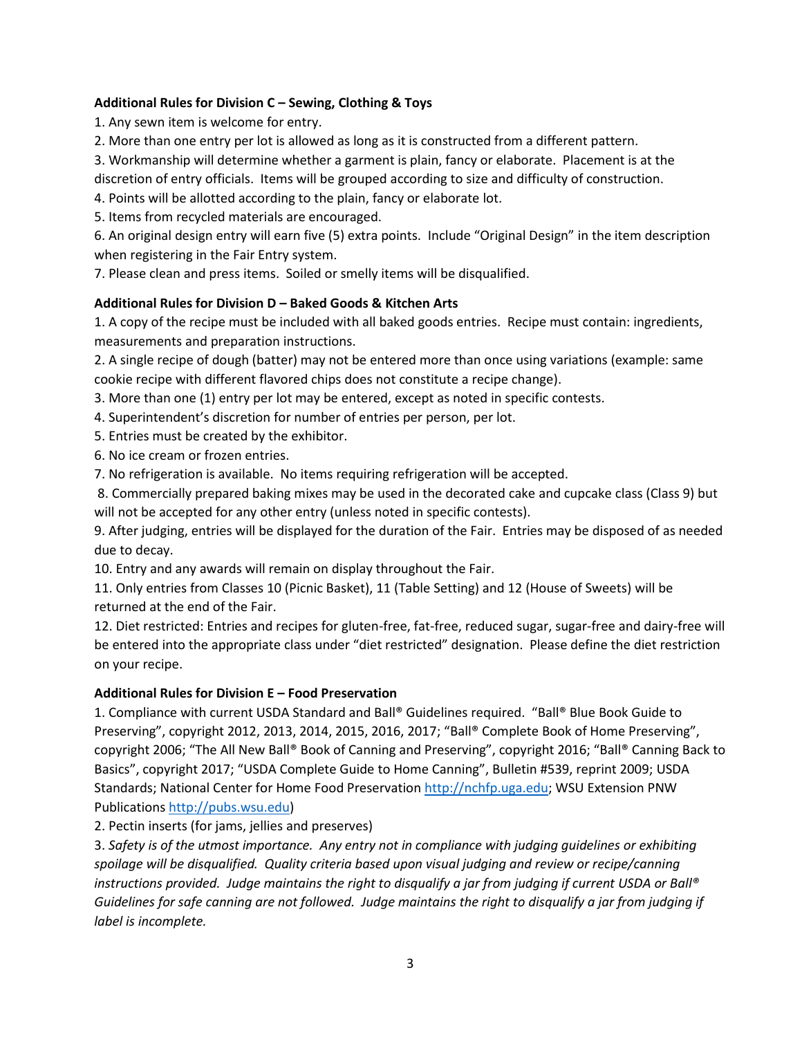# **Additional Rules for Division C – Sewing, Clothing & Toys**

1. Any sewn item is welcome for entry.

2. More than one entry per lot is allowed as long as it is constructed from a different pattern.

3. Workmanship will determine whether a garment is plain, fancy or elaborate. Placement is at the

discretion of entry officials. Items will be grouped according to size and difficulty of construction.

4. Points will be allotted according to the plain, fancy or elaborate lot.

5. Items from recycled materials are encouraged.

6. An original design entry will earn five (5) extra points. Include "Original Design" in the item description when registering in the Fair Entry system.

7. Please clean and press items. Soiled or smelly items will be disqualified.

# **Additional Rules for Division D – Baked Goods & Kitchen Arts**

1. A copy of the recipe must be included with all baked goods entries. Recipe must contain: ingredients, measurements and preparation instructions.

2. A single recipe of dough (batter) may not be entered more than once using variations (example: same cookie recipe with different flavored chips does not constitute a recipe change).

3. More than one (1) entry per lot may be entered, except as noted in specific contests.

4. Superintendent's discretion for number of entries per person, per lot.

5. Entries must be created by the exhibitor.

6. No ice cream or frozen entries.

7. No refrigeration is available. No items requiring refrigeration will be accepted.

8. Commercially prepared baking mixes may be used in the decorated cake and cupcake class (Class 9) but will not be accepted for any other entry (unless noted in specific contests).

9. After judging, entries will be displayed for the duration of the Fair. Entries may be disposed of as needed due to decay.

10. Entry and any awards will remain on display throughout the Fair.

11. Only entries from Classes 10 (Picnic Basket), 11 (Table Setting) and 12 (House of Sweets) will be returned at the end of the Fair.

12. Diet restricted: Entries and recipes for gluten-free, fat-free, reduced sugar, sugar-free and dairy-free will be entered into the appropriate class under "diet restricted" designation. Please define the diet restriction on your recipe.

## **Additional Rules for Division E – Food Preservation**

1. Compliance with current USDA Standard and Ball® Guidelines required. "Ball® Blue Book Guide to Preserving", copyright 2012, 2013, 2014, 2015, 2016, 2017; "Ball® Complete Book of Home Preserving", copyright 2006; "The All New Ball® Book of Canning and Preserving", copyright 2016; "Ball® Canning Back to Basics", copyright 2017; "USDA Complete Guide to Home Canning", Bulletin #539, reprint 2009; USDA Standards; National Center for Home Food Preservation [http://nchfp.uga.edu;](http://nchfp.uga.edu/) WSU Extension PNW Publications [http://pubs.wsu.edu\)](http://pubs.wsu.edu/)

2. Pectin inserts (for jams, jellies and preserves)

3. *Safety is of the utmost importance. Any entry not in compliance with judging guidelines or exhibiting spoilage will be disqualified. Quality criteria based upon visual judging and review or recipe/canning instructions provided. Judge maintains the right to disqualify a jar from judging if current USDA or Ball® Guidelines for safe canning are not followed. Judge maintains the right to disqualify a jar from judging if label is incomplete.*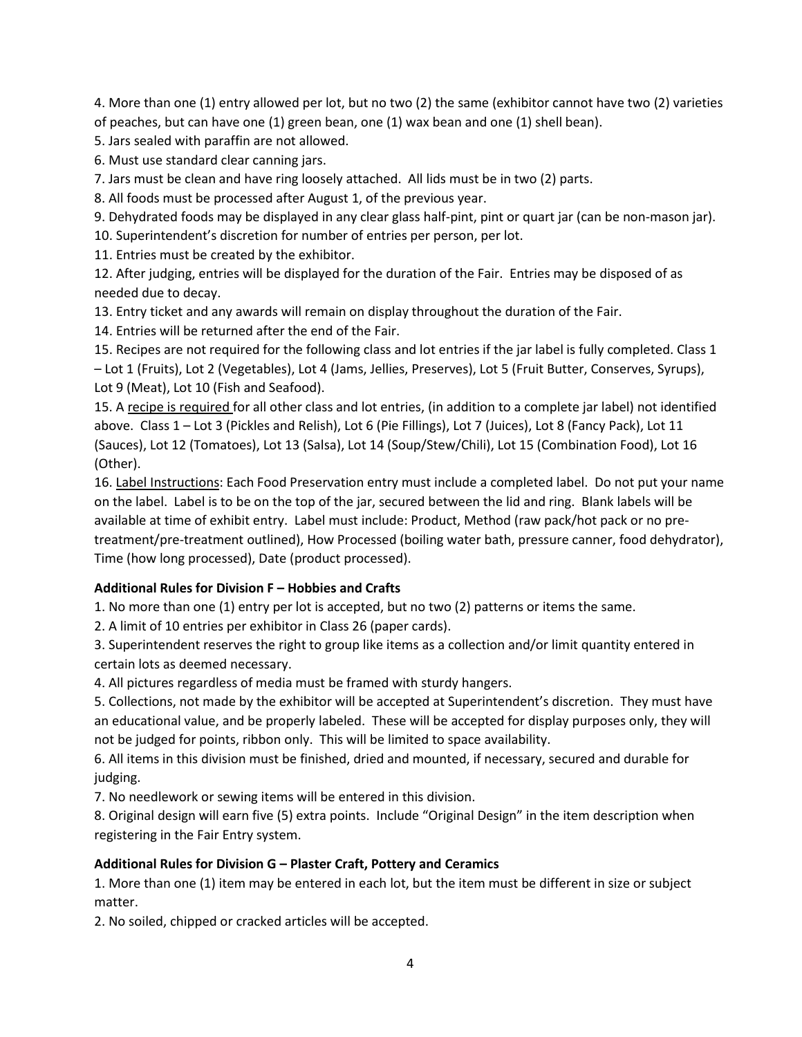4. More than one (1) entry allowed per lot, but no two (2) the same (exhibitor cannot have two (2) varieties of peaches, but can have one (1) green bean, one (1) wax bean and one (1) shell bean).

5. Jars sealed with paraffin are not allowed.

6. Must use standard clear canning jars.

7. Jars must be clean and have ring loosely attached. All lids must be in two (2) parts.

8. All foods must be processed after August 1, of the previous year.

9. Dehydrated foods may be displayed in any clear glass half-pint, pint or quart jar (can be non-mason jar).

10. Superintendent's discretion for number of entries per person, per lot.

11. Entries must be created by the exhibitor.

12. After judging, entries will be displayed for the duration of the Fair. Entries may be disposed of as needed due to decay.

13. Entry ticket and any awards will remain on display throughout the duration of the Fair.

14. Entries will be returned after the end of the Fair.

15. Recipes are not required for the following class and lot entries if the jar label is fully completed. Class 1 – Lot 1 (Fruits), Lot 2 (Vegetables), Lot 4 (Jams, Jellies, Preserves), Lot 5 (Fruit Butter, Conserves, Syrups), Lot 9 (Meat), Lot 10 (Fish and Seafood).

15. A recipe is required for all other class and lot entries, (in addition to a complete jar label) not identified above. Class 1 – Lot 3 (Pickles and Relish), Lot 6 (Pie Fillings), Lot 7 (Juices), Lot 8 (Fancy Pack), Lot 11 (Sauces), Lot 12 (Tomatoes), Lot 13 (Salsa), Lot 14 (Soup/Stew/Chili), Lot 15 (Combination Food), Lot 16 (Other).

16. Label Instructions: Each Food Preservation entry must include a completed label. Do not put your name on the label. Label is to be on the top of the jar, secured between the lid and ring. Blank labels will be available at time of exhibit entry. Label must include: Product, Method (raw pack/hot pack or no pretreatment/pre-treatment outlined), How Processed (boiling water bath, pressure canner, food dehydrator), Time (how long processed), Date (product processed).

## **Additional Rules for Division F – Hobbies and Crafts**

1. No more than one (1) entry per lot is accepted, but no two (2) patterns or items the same.

2. A limit of 10 entries per exhibitor in Class 26 (paper cards).

3. Superintendent reserves the right to group like items as a collection and/or limit quantity entered in certain lots as deemed necessary.

4. All pictures regardless of media must be framed with sturdy hangers.

5. Collections, not made by the exhibitor will be accepted at Superintendent's discretion. They must have an educational value, and be properly labeled. These will be accepted for display purposes only, they will not be judged for points, ribbon only. This will be limited to space availability.

6. All items in this division must be finished, dried and mounted, if necessary, secured and durable for judging.

7. No needlework or sewing items will be entered in this division.

8. Original design will earn five (5) extra points. Include "Original Design" in the item description when registering in the Fair Entry system.

# **Additional Rules for Division G – Plaster Craft, Pottery and Ceramics**

1. More than one (1) item may be entered in each lot, but the item must be different in size or subject matter.

2. No soiled, chipped or cracked articles will be accepted.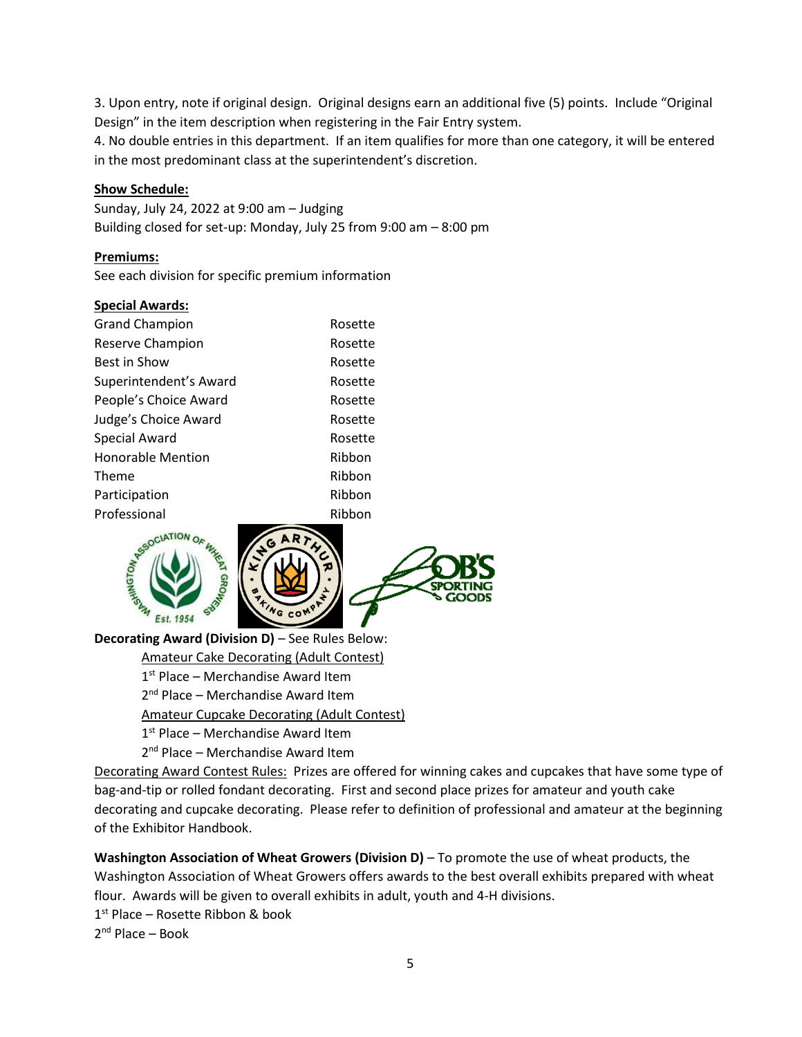3. Upon entry, note if original design. Original designs earn an additional five (5) points. Include "Original Design" in the item description when registering in the Fair Entry system.

4. No double entries in this department. If an item qualifies for more than one category, it will be entered in the most predominant class at the superintendent's discretion.

## **Show Schedule:**

Sunday, July 24, 2022 at 9:00 am – Judging Building closed for set-up: Monday, July 25 from 9:00 am – 8:00 pm

### **Premiums:**

See each division for specific premium information

### **Special Awards:**

| <b>Grand Champion</b>    | Rosette |
|--------------------------|---------|
| Reserve Champion         | Rosette |
| Best in Show             | Rosette |
| Superintendent's Award   | Rosette |
| People's Choice Award    | Rosette |
| Judge's Choice Award     | Rosette |
| <b>Special Award</b>     | Rosette |
| <b>Honorable Mention</b> | Ribbon  |
| Theme                    | Ribbon  |
| Participation            | Ribbon  |
| Professional             | Ribbon  |
|                          |         |



**Decorating Award (Division D)** – See Rules Below:

Amateur Cake Decorating (Adult Contest)

1<sup>st</sup> Place – Merchandise Award Item

2<sup>nd</sup> Place – Merchandise Award Item

Amateur Cupcake Decorating (Adult Contest)

1<sup>st</sup> Place – Merchandise Award Item

2<sup>nd</sup> Place – Merchandise Award Item

Decorating Award Contest Rules: Prizes are offered for winning cakes and cupcakes that have some type of bag-and-tip or rolled fondant decorating. First and second place prizes for amateur and youth cake decorating and cupcake decorating. Please refer to definition of professional and amateur at the beginning of the Exhibitor Handbook.

**Washington Association of Wheat Growers (Division D)** – To promote the use of wheat products, the Washington Association of Wheat Growers offers awards to the best overall exhibits prepared with wheat flour. Awards will be given to overall exhibits in adult, youth and 4-H divisions. 1 st Place – Rosette Ribbon & book 2<sup>nd</sup> Place – Book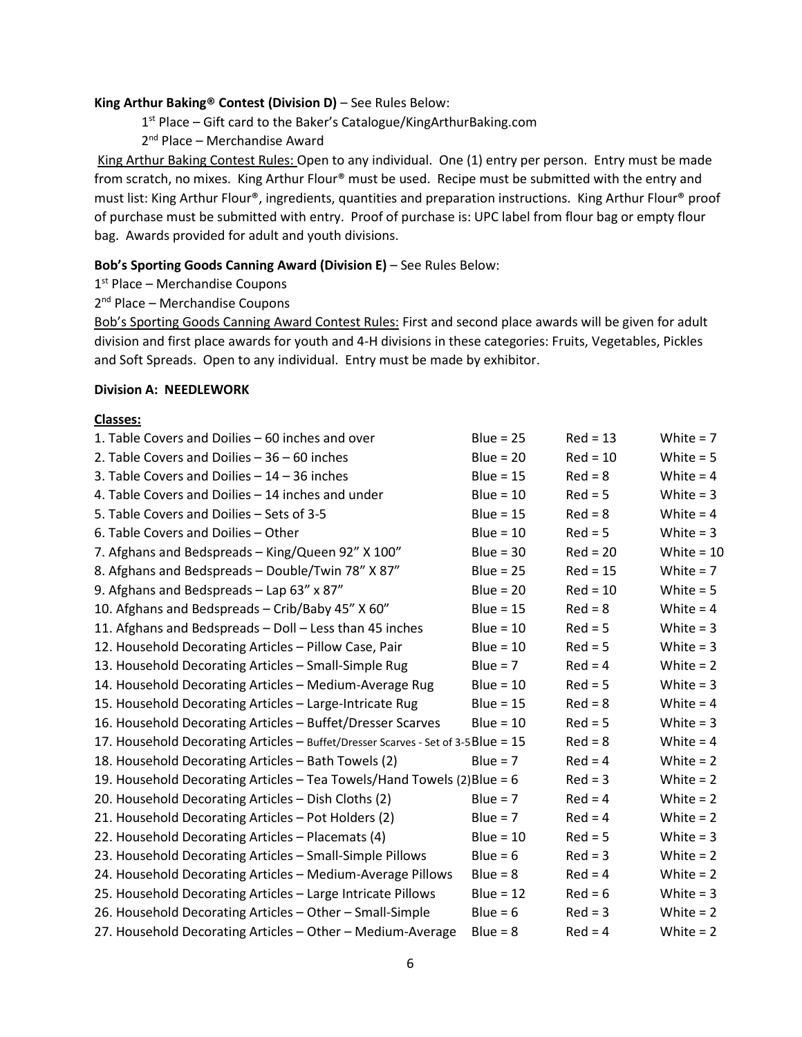# **King Arthur Baking® Contest (Division D)** – See Rules Below:

1<sup>st</sup> Place - Gift card to the Baker's Catalogue/KingArthurBaking.com

2<sup>nd</sup> Place – Merchandise Award

King Arthur Baking Contest Rules: Open to any individual. One (1) entry per person. Entry must be made from scratch, no mixes. King Arthur Flour® must be used. Recipe must be submitted with the entry and must list: King Arthur Flour®, ingredients, quantities and preparation instructions. King Arthur Flour® proof of purchase must be submitted with entry. Proof of purchase is: UPC label from flour bag or empty flour bag. Awards provided for adult and youth divisions.

### **Bob's Sporting Goods Canning Award (Division E)** – See Rules Below:

1<sup>st</sup> Place - Merchandise Coupons

2<sup>nd</sup> Place - Merchandise Coupons

Bob's Sporting Goods Canning Award Contest Rules: First and second place awards will be given for adult division and first place awards for youth and 4-H divisions in these categories: Fruits, Vegetables, Pickles and Soft Spreads. Open to any individual. Entry must be made by exhibitor.

### **Division A: NEEDLEWORK**

### **Classes:**

| 1. Table Covers and Doilies - 60 inches and over                                  | $Blue = 25$ | $Red = 13$ | White $= 7$  |
|-----------------------------------------------------------------------------------|-------------|------------|--------------|
| 2. Table Covers and Doilies $-36 - 60$ inches                                     | Blue = $20$ | $Red = 10$ | White $= 5$  |
| 3. Table Covers and Doilies $-14 - 36$ inches                                     | Blue = $15$ | $Red = 8$  | White $= 4$  |
| 4. Table Covers and Doilies - 14 inches and under                                 | Blue = $10$ | $Red = 5$  | White $= 3$  |
| 5. Table Covers and Doilies - Sets of 3-5                                         | Blue = $15$ | $Red = 8$  | White $= 4$  |
| 6. Table Covers and Doilies - Other                                               | Blue = $10$ | $Red = 5$  | White $=$ 3  |
| 7. Afghans and Bedspreads - King/Queen 92" X 100"                                 | Blue = $30$ | $Red = 20$ | White = $10$ |
| 8. Afghans and Bedspreads - Double/Twin 78" X 87"                                 | Blue = $25$ | $Red = 15$ | White $= 7$  |
| 9. Afghans and Bedspreads - Lap 63" x 87"                                         | Blue = $20$ | $Red = 10$ | White $= 5$  |
| 10. Afghans and Bedspreads - Crib/Baby 45" X 60"                                  | $Blue = 15$ | $Red = 8$  | White $= 4$  |
| 11. Afghans and Bedspreads - Doll - Less than 45 inches                           | Blue = $10$ | $Red = 5$  | White $=$ 3  |
| 12. Household Decorating Articles - Pillow Case, Pair                             | Blue = $10$ | $Red = 5$  | White $= 3$  |
| 13. Household Decorating Articles - Small-Simple Rug                              | Blue = $7$  | $Red = 4$  | White $= 2$  |
| 14. Household Decorating Articles - Medium-Average Rug                            | $Blue = 10$ | $Red = 5$  | White $=$ 3  |
| 15. Household Decorating Articles - Large-Intricate Rug                           | Blue = $15$ | $Red = 8$  | White $= 4$  |
| 16. Household Decorating Articles - Buffet/Dresser Scarves                        | Blue = $10$ | $Red = 5$  | White $=$ 3  |
| 17. Household Decorating Articles - Buffet/Dresser Scarves - Set of 3-5 Blue = 15 |             | $Red = 8$  | White $= 4$  |
| 18. Household Decorating Articles - Bath Towels (2)                               | Blue = $7$  | $Red = 4$  | White $= 2$  |
| 19. Household Decorating Articles – Tea Towels/Hand Towels (2) Blue = 6           |             | $Red = 3$  | White $= 2$  |
| 20. Household Decorating Articles - Dish Cloths (2)                               | Blue = $7$  | $Red = 4$  | White $= 2$  |
| 21. Household Decorating Articles - Pot Holders (2)                               | Blue = $7$  | $Red = 4$  | White $= 2$  |
| 22. Household Decorating Articles - Placemats (4)                                 | Blue = $10$ | $Red = 5$  | White $=$ 3  |
| 23. Household Decorating Articles - Small-Simple Pillows                          | Blue = $6$  | $Red = 3$  | White $= 2$  |
| 24. Household Decorating Articles - Medium-Average Pillows                        | $Blue = 8$  | $Red = 4$  | White $= 2$  |
| 25. Household Decorating Articles - Large Intricate Pillows                       | Blue = $12$ | $Red = 6$  | White $=$ 3  |
| 26. Household Decorating Articles - Other - Small-Simple                          | Blue = $6$  | $Red = 3$  | White $= 2$  |
| 27. Household Decorating Articles - Other - Medium-Average                        | $Blue = 8$  | $Red = 4$  | White $= 2$  |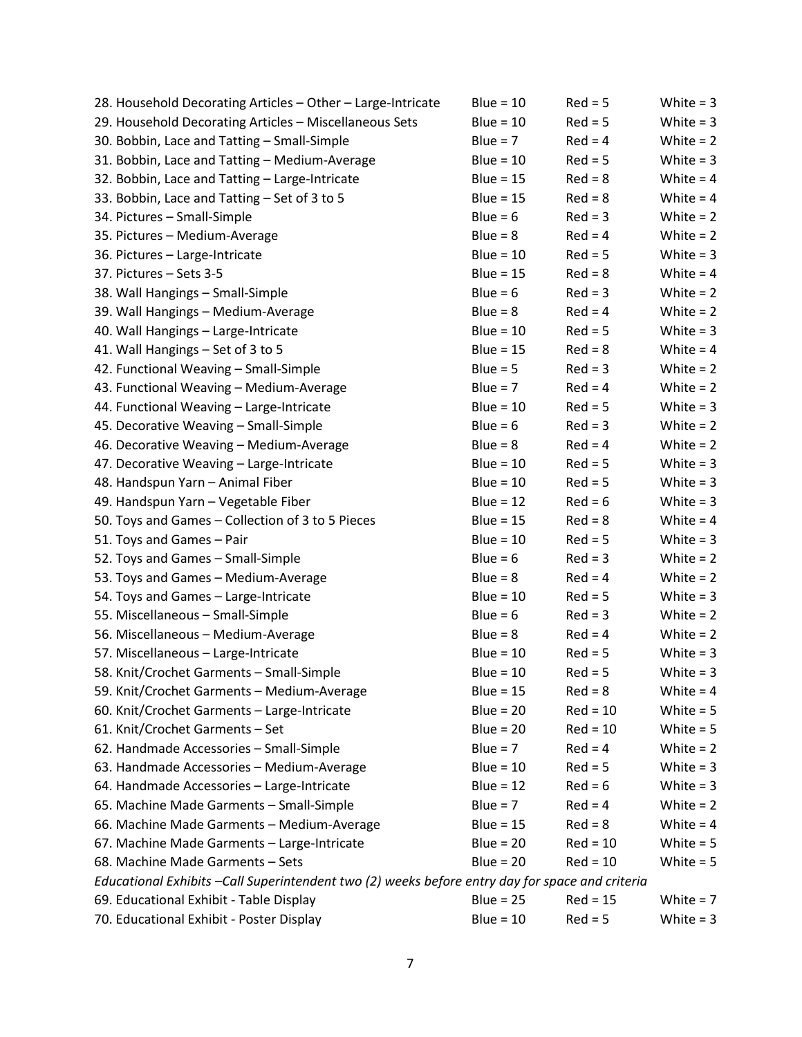| 28. Household Decorating Articles - Other - Large-Intricate                                     | Blue = $10$ | $Red = 5$  | White $= 3$ |
|-------------------------------------------------------------------------------------------------|-------------|------------|-------------|
| 29. Household Decorating Articles - Miscellaneous Sets                                          | $Blue = 10$ | $Red = 5$  | White $=$ 3 |
| 30. Bobbin, Lace and Tatting - Small-Simple                                                     | Blue = $7$  | $Red = 4$  | White $= 2$ |
| 31. Bobbin, Lace and Tatting - Medium-Average                                                   | Blue = $10$ | $Red = 5$  | White $=$ 3 |
| 32. Bobbin, Lace and Tatting - Large-Intricate                                                  | Blue = $15$ | $Red = 8$  | White $= 4$ |
| 33. Bobbin, Lace and Tatting - Set of 3 to 5                                                    | Blue = $15$ | $Red = 8$  | White $=$ 4 |
| 34. Pictures - Small-Simple                                                                     | Blue = $6$  | $Red = 3$  | White $= 2$ |
| 35. Pictures - Medium-Average                                                                   | $Blue = 8$  | $Red = 4$  | White $= 2$ |
| 36. Pictures - Large-Intricate                                                                  | Blue = $10$ | $Red = 5$  | White $=$ 3 |
| 37. Pictures - Sets 3-5                                                                         | Blue = $15$ | $Red = 8$  | White $= 4$ |
| 38. Wall Hangings - Small-Simple                                                                | Blue = $6$  | $Red = 3$  | White $= 2$ |
| 39. Wall Hangings - Medium-Average                                                              | $Blue = 8$  | $Red = 4$  | White $= 2$ |
| 40. Wall Hangings - Large-Intricate                                                             | Blue = $10$ | $Red = 5$  | White $=$ 3 |
| 41. Wall Hangings – Set of 3 to 5                                                               | Blue = $15$ | $Red = 8$  | White = $4$ |
| 42. Functional Weaving - Small-Simple                                                           | $Blue = 5$  | $Red = 3$  | White $= 2$ |
| 43. Functional Weaving - Medium-Average                                                         | Blue = $7$  | $Red = 4$  | White $= 2$ |
| 44. Functional Weaving - Large-Intricate                                                        | $Blue = 10$ | $Red = 5$  | White $=$ 3 |
| 45. Decorative Weaving - Small-Simple                                                           | Blue = $6$  | $Red = 3$  | White $= 2$ |
| 46. Decorative Weaving - Medium-Average                                                         | $Blue = 8$  | $Red = 4$  | White $= 2$ |
| 47. Decorative Weaving - Large-Intricate                                                        | $Blue = 10$ | $Red = 5$  | White $=$ 3 |
| 48. Handspun Yarn - Animal Fiber                                                                | $Blue = 10$ | $Red = 5$  | White $=$ 3 |
| 49. Handspun Yarn - Vegetable Fiber                                                             | Blue = $12$ | $Red = 6$  | White $=$ 3 |
| 50. Toys and Games - Collection of 3 to 5 Pieces                                                | $Blue = 15$ | $Red = 8$  | White $= 4$ |
| 51. Toys and Games - Pair                                                                       | $Blue = 10$ | $Red = 5$  | White $= 3$ |
| 52. Toys and Games - Small-Simple                                                               | Blue = $6$  | $Red = 3$  | White $= 2$ |
| 53. Toys and Games - Medium-Average                                                             | $Blue = 8$  | $Red = 4$  | White $= 2$ |
| 54. Toys and Games - Large-Intricate                                                            | Blue = $10$ | $Red = 5$  | White $=$ 3 |
| 55. Miscellaneous - Small-Simple                                                                | Blue = $6$  | $Red = 3$  | White $= 2$ |
| 56. Miscellaneous - Medium-Average                                                              | $Blue = 8$  | $Red = 4$  | White $= 2$ |
| 57. Miscellaneous - Large-Intricate                                                             | Blue = $10$ | $Red = 5$  | White $=$ 3 |
| 58. Knit/Crochet Garments - Small-Simple                                                        | $Blue = 10$ | $Red = 5$  | White $=$ 3 |
| 59. Knit/Crochet Garments - Medium-Average                                                      | $Blue = 15$ | $Red = 8$  | White $=$ 4 |
| 60. Knit/Crochet Garments - Large-Intricate                                                     | $Blue = 20$ | $Red = 10$ | White $= 5$ |
| 61. Knit/Crochet Garments - Set                                                                 | Blue = $20$ | $Red = 10$ | White $= 5$ |
| 62. Handmade Accessories - Small-Simple                                                         | $Blue = 7$  | $Red = 4$  | White $= 2$ |
| 63. Handmade Accessories - Medium-Average                                                       | $Blue = 10$ | $Red = 5$  | White $=$ 3 |
| 64. Handmade Accessories - Large-Intricate                                                      | Blue = $12$ | $Red = 6$  | White $=$ 3 |
| 65. Machine Made Garments - Small-Simple                                                        | Blue = $7$  | $Red = 4$  | White $= 2$ |
| 66. Machine Made Garments - Medium-Average                                                      | Blue = $15$ | $Red = 8$  | White = $4$ |
| 67. Machine Made Garments - Large-Intricate                                                     | Blue = $20$ | $Red = 10$ | White $= 5$ |
| 68. Machine Made Garments - Sets                                                                | $Blue = 20$ | $Red = 10$ | White $= 5$ |
| Educational Exhibits -Call Superintendent two (2) weeks before entry day for space and criteria |             |            |             |
| 69. Educational Exhibit - Table Display                                                         | Blue = $25$ | $Red = 15$ | White $= 7$ |
| 70. Educational Exhibit - Poster Display                                                        | $Blue = 10$ | $Red = 5$  | White $=$ 3 |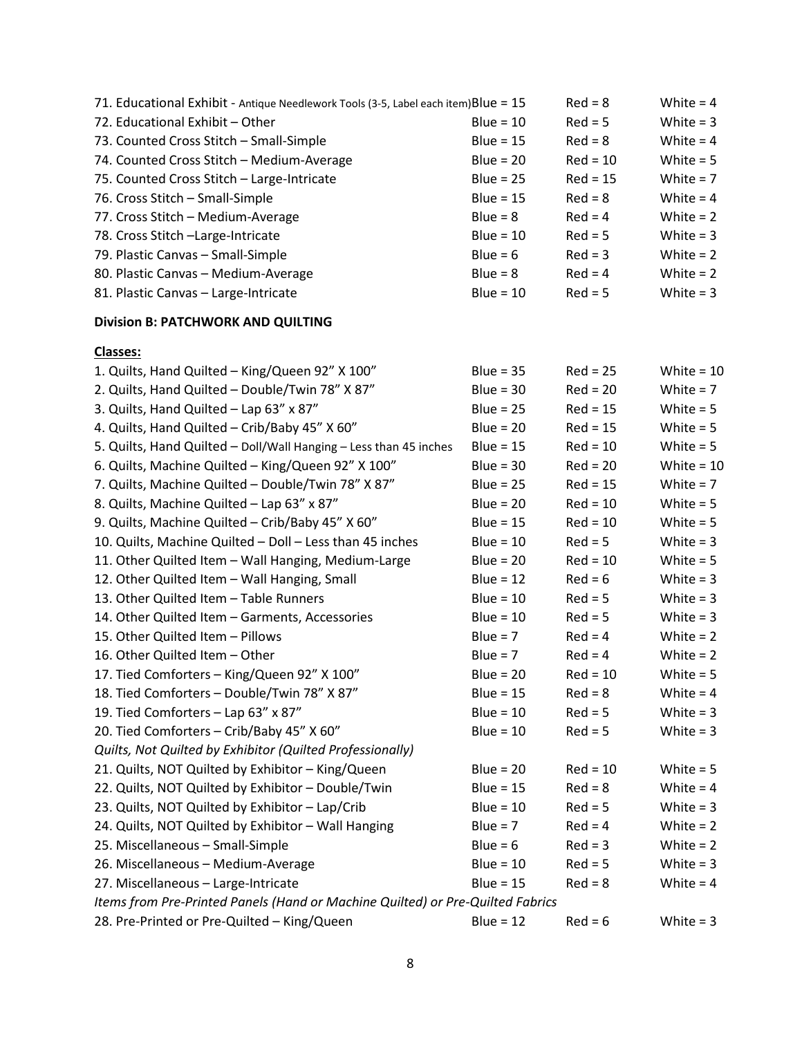| 71. Educational Exhibit - Antique Needlework Tools (3-5, Label each item) Blue = 15 |             | $Red = 8$  | White $= 4$  |
|-------------------------------------------------------------------------------------|-------------|------------|--------------|
| 72. Educational Exhibit - Other                                                     | Blue = $10$ | $Red = 5$  | White $=$ 3  |
| 73. Counted Cross Stitch - Small-Simple                                             | Blue = $15$ | $Red = 8$  | White $= 4$  |
| 74. Counted Cross Stitch - Medium-Average                                           | Blue = $20$ | $Red = 10$ | White $= 5$  |
| 75. Counted Cross Stitch - Large-Intricate                                          | Blue = $25$ | $Red = 15$ | White $= 7$  |
| 76. Cross Stitch - Small-Simple                                                     | Blue = $15$ | $Red = 8$  | White $= 4$  |
| 77. Cross Stitch - Medium-Average                                                   | $Blue = 8$  | $Red = 4$  | White $= 2$  |
| 78. Cross Stitch - Large-Intricate                                                  | Blue = $10$ | $Red = 5$  | White $= 3$  |
| 79. Plastic Canvas - Small-Simple                                                   | Blue = $6$  | $Red = 3$  | White $= 2$  |
| 80. Plastic Canvas - Medium-Average                                                 | $Blue = 8$  | $Red = 4$  | White $= 2$  |
| 81. Plastic Canvas - Large-Intricate                                                | Blue = $10$ | $Red = 5$  | White $=$ 3  |
| <b>Division B: PATCHWORK AND QUILTING</b>                                           |             |            |              |
| <b>Classes:</b>                                                                     |             |            |              |
| 1. Quilts, Hand Quilted - King/Queen 92" X 100"                                     | Blue = $35$ | $Red = 25$ | White = $10$ |
| 2. Quilts, Hand Quilted - Double/Twin 78" X 87"                                     | $Blue = 30$ | $Red = 20$ | White = $7$  |
| 3. Quilts, Hand Quilted - Lap 63" x 87"                                             | Blue = $25$ | $Red = 15$ | White $= 5$  |
| 4. Quilts, Hand Quilted - Crib/Baby 45" X 60"                                       | Blue = $20$ | $Red = 15$ | White $= 5$  |
| 5. Quilts, Hand Quilted - Doll/Wall Hanging - Less than 45 inches                   | Blue = $15$ | $Red = 10$ | White $= 5$  |
| 6. Quilts, Machine Quilted - King/Queen 92" X 100"                                  | Blue = $30$ | $Red = 20$ | White = $10$ |
| 7. Quilts, Machine Quilted - Double/Twin 78" X 87"                                  | Blue = $25$ | $Red = 15$ | White $= 7$  |
| 8. Quilts, Machine Quilted - Lap 63" x 87"                                          | Blue = $20$ | $Red = 10$ | White $= 5$  |
| 9. Quilts, Machine Quilted - Crib/Baby 45" X 60"                                    | Blue = $15$ | $Red = 10$ | White $= 5$  |
| 10. Quilts, Machine Quilted - Doll - Less than 45 inches                            | $Blue = 10$ | $Red = 5$  | White $=$ 3  |
| 11. Other Quilted Item - Wall Hanging, Medium-Large                                 | Blue = $20$ | $Red = 10$ | White $= 5$  |
| 12. Other Quilted Item - Wall Hanging, Small                                        | Blue = $12$ | $Red = 6$  | White $=$ 3  |
| 13. Other Quilted Item - Table Runners                                              | $Blue = 10$ | $Red = 5$  | White $=$ 3  |
| 14. Other Quilted Item - Garments, Accessories                                      | $Blue = 10$ | $Red = 5$  | White $=$ 3  |
| 15. Other Quilted Item - Pillows                                                    | Blue = $7$  | $Red = 4$  | White $= 2$  |
| 16. Other Quilted Item - Other                                                      | Blue = $7$  | $Red = 4$  | White $= 2$  |
| 17. Tied Comforters - King/Queen 92" X 100"                                         | Blue = $20$ | $Red = 10$ | White $= 5$  |
| 18. Tied Comforters - Double/Twin 78" X 87"                                         | $Blue = 15$ | $Red = 8$  | White $= 4$  |
| 19. Tied Comforters - Lap 63" x 87"                                                 | $Blue = 10$ | $Red = 5$  | White $= 3$  |
| 20. Tied Comforters - Crib/Baby 45" X 60"                                           | $Blue = 10$ | $Red = 5$  | White $= 3$  |
| Quilts, Not Quilted by Exhibitor (Quilted Professionally)                           |             |            |              |
| 21. Quilts, NOT Quilted by Exhibitor - King/Queen                                   | $Blue = 20$ | $Red = 10$ | White $= 5$  |
| 22. Quilts, NOT Quilted by Exhibitor - Double/Twin                                  | Blue = $15$ | $Red = 8$  | White $= 4$  |
| 23. Quilts, NOT Quilted by Exhibitor - Lap/Crib                                     | $Blue = 10$ | $Red = 5$  | White $= 3$  |
| 24. Quilts, NOT Quilted by Exhibitor - Wall Hanging                                 | $Blue = 7$  | $Red = 4$  | White $= 2$  |
| 25. Miscellaneous - Small-Simple                                                    | Blue = $6$  | $Red = 3$  | White $= 2$  |
| 26. Miscellaneous - Medium-Average                                                  | $Blue = 10$ | $Red = 5$  | White $= 3$  |
| 27. Miscellaneous - Large-Intricate                                                 | $Blue = 15$ | $Red = 8$  | White $= 4$  |
| Items from Pre-Printed Panels (Hand or Machine Quilted) or Pre-Quilted Fabrics      |             |            |              |
| 28. Pre-Printed or Pre-Quilted - King/Queen                                         | Blue = $12$ | $Red = 6$  | White $= 3$  |
|                                                                                     |             |            |              |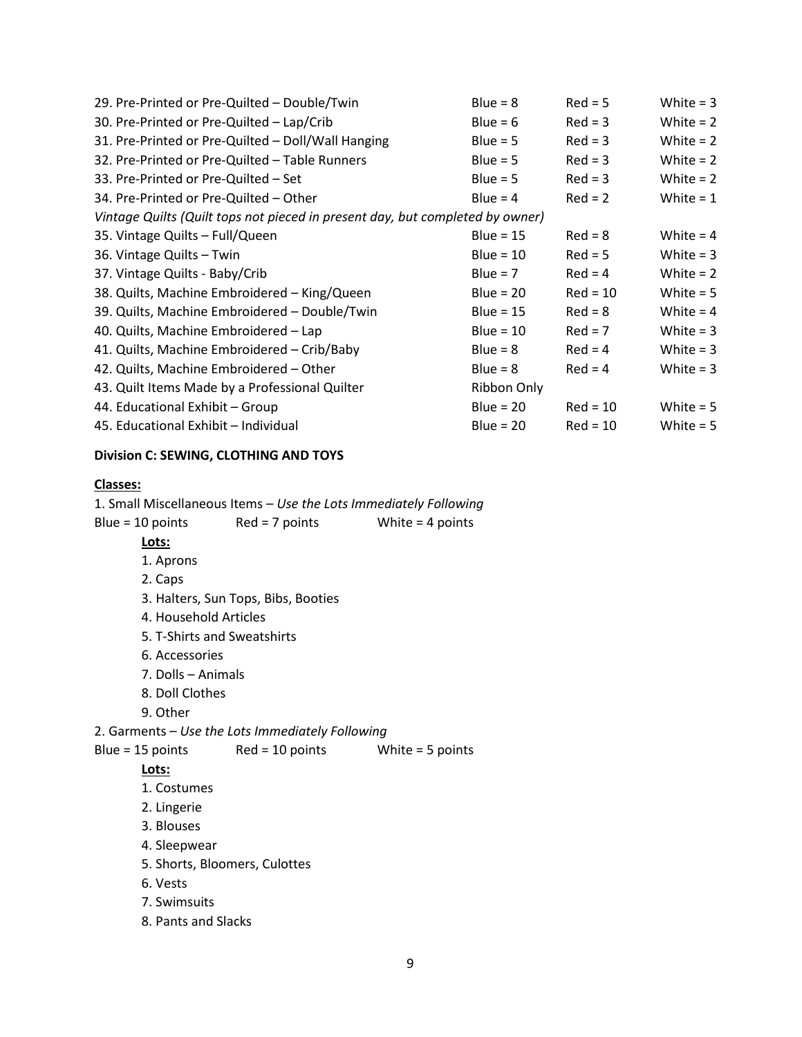| 29. Pre-Printed or Pre-Quilted - Double/Twin                                  | $Blue = 8$  | $Red = 5$  | White $=$ 3 |
|-------------------------------------------------------------------------------|-------------|------------|-------------|
| 30. Pre-Printed or Pre-Quilted - Lap/Crib                                     | Blue = $6$  | $Red = 3$  | White $= 2$ |
| 31. Pre-Printed or Pre-Quilted - Doll/Wall Hanging                            | $Blue = 5$  | $Red = 3$  | White $= 2$ |
| 32. Pre-Printed or Pre-Quilted - Table Runners                                | $Blue = 5$  | $Red = 3$  | White $= 2$ |
| 33. Pre-Printed or Pre-Quilted - Set                                          | $Blue = 5$  | $Red = 3$  | White $= 2$ |
| 34. Pre-Printed or Pre-Quilted – Other                                        | Blue = $4$  | $Red = 2$  | White $= 1$ |
| Vintage Quilts (Quilt tops not pieced in present day, but completed by owner) |             |            |             |
| 35. Vintage Quilts - Full/Queen                                               | Blue = $15$ | $Red = 8$  | White = $4$ |
| 36. Vintage Quilts - Twin                                                     | Blue = $10$ | $Red = 5$  | White $=$ 3 |
| 37. Vintage Quilts - Baby/Crib                                                | Blue = $7$  | $Red = 4$  | White $= 2$ |
| 38. Quilts, Machine Embroidered - King/Queen                                  | Blue = $20$ | $Red = 10$ | White $= 5$ |
| 39. Quilts, Machine Embroidered - Double/Twin                                 | Blue = $15$ | $Red = 8$  | White = $4$ |
| 40. Quilts, Machine Embroidered - Lap                                         | Blue = $10$ | $Red = 7$  | White $=$ 3 |
| 41. Quilts, Machine Embroidered – Crib/Baby                                   | $Blue = 8$  | $Red = 4$  | White $=$ 3 |
| 42. Quilts, Machine Embroidered – Other                                       | Blue = $8$  | $Red = 4$  | White $=$ 3 |
| 43. Quilt Items Made by a Professional Quilter                                | Ribbon Only |            |             |
| 44. Educational Exhibit – Group                                               | Blue = $20$ | $Red = 10$ | White $= 5$ |
| 45. Educational Exhibit - Individual                                          | Blue = $20$ | $Red = 10$ | White $= 5$ |

# **Division C: SEWING, CLOTHING AND TOYS**

### **Classes:**

1. Small Miscellaneous Items – *Use the Lots Immediately Following* Blue = 10 points Red = 7 points White = 4 points **Lots:** 1. Aprons 2. Caps 3. Halters, Sun Tops, Bibs, Booties 4. Household Articles 5. T-Shirts and Sweatshirts 6. Accessories 7. Dolls – Animals 8. Doll Clothes 9. Other 2. Garments – *Use the Lots Immediately Following* Blue = 15 points Red = 10 points White = 5 points **Lots:**

# 1. Costumes

- 2. Lingerie
- 3. Blouses
- 4. Sleepwear
- 5. Shorts, Bloomers, Culottes
- 6. Vests
- 7. Swimsuits
- 8. Pants and Slacks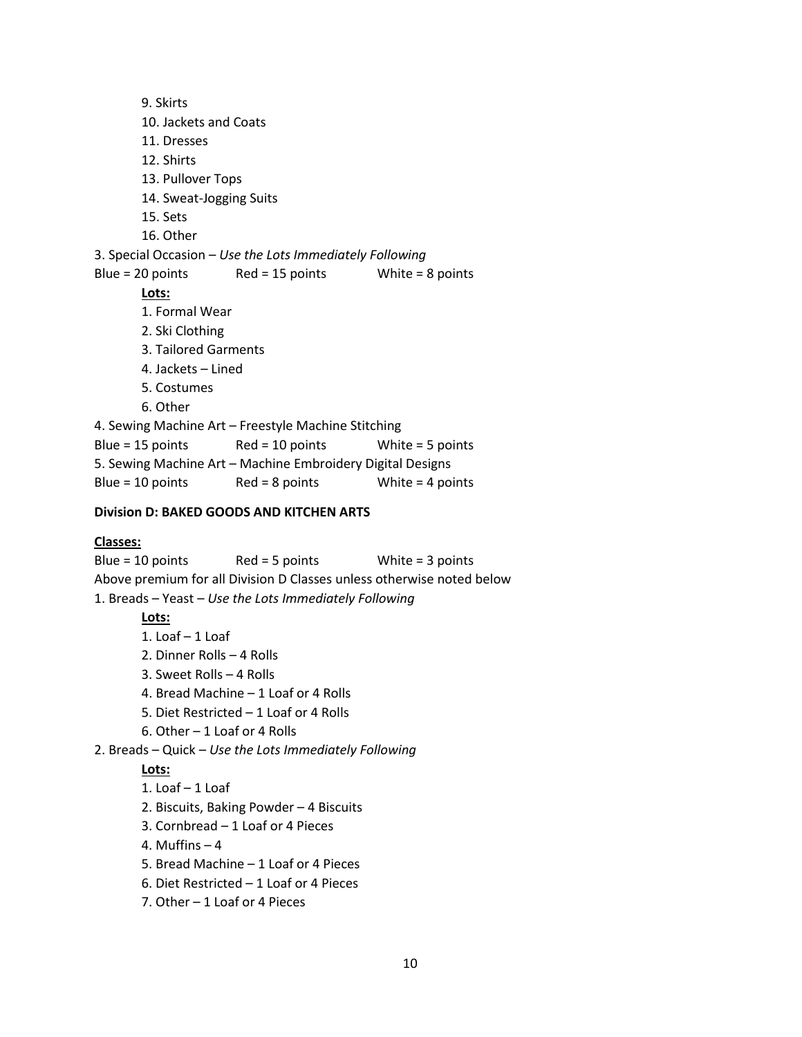9. Skirts 10. Jackets and Coats 11. Dresses 12. Shirts 13. Pullover Tops 14. Sweat-Jogging Suits 15. Sets 16. Other 3. Special Occasion – *Use the Lots Immediately Following* Blue = 20 points Red = 15 points White = 8 points **Lots:**  1. Formal Wear 2. Ski Clothing 3. Tailored Garments 4. Jackets – Lined 5. Costumes 6. Other 4. Sewing Machine Art – Freestyle Machine Stitching Blue = 15 points Red = 10 points White = 5 points 5. Sewing Machine Art – Machine Embroidery Digital Designs Blue = 10 points Red = 8 points White = 4 points

## **Division D: BAKED GOODS AND KITCHEN ARTS**

### **Classes:**

Blue = 10 points Red = 5 points White = 3 points Above premium for all Division D Classes unless otherwise noted below 1. Breads – Yeast – *Use the Lots Immediately Following*

### **Lots:**

- 1. Loaf 1 Loaf
- 2. Dinner Rolls 4 Rolls
- 3. Sweet Rolls 4 Rolls
- 4. Bread Machine 1 Loaf or 4 Rolls
- 5. Diet Restricted 1 Loaf or 4 Rolls
- 6. Other 1 Loaf or 4 Rolls
- 2. Breads Quick *Use the Lots Immediately Following*

#### **Lots:**

- 1. Loaf 1 Loaf
- 2. Biscuits, Baking Powder 4 Biscuits
- 3. Cornbread 1 Loaf or 4 Pieces
- 4. Muffins 4
- 5. Bread Machine 1 Loaf or 4 Pieces
- 6. Diet Restricted 1 Loaf or 4 Pieces
- 7. Other 1 Loaf or 4 Pieces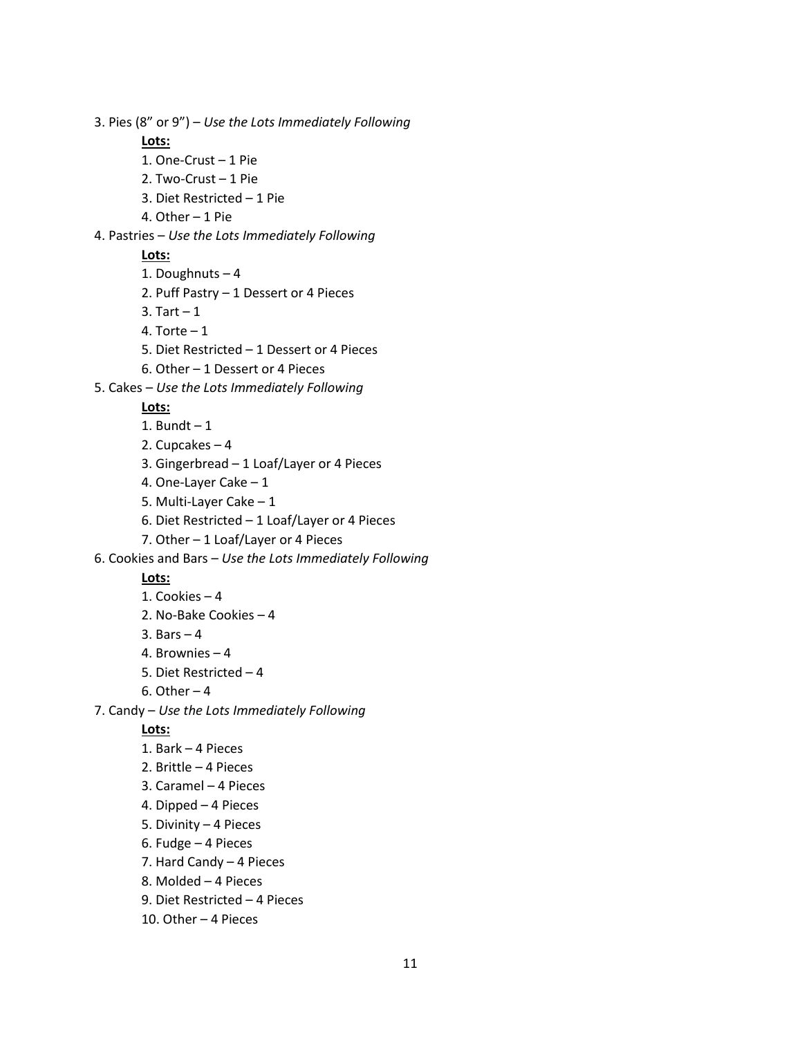3. Pies (8" or 9") – *Use the Lots Immediately Following* **Lots:** 1. One-Crust – 1 Pie 2. Two-Crust – 1 Pie 3. Diet Restricted – 1 Pie 4. Other – 1 Pie 4. Pastries – *Use the Lots Immediately Following* **Lots:** 1. Doughnuts – 4 2. Puff Pastry – 1 Dessert or 4 Pieces 3. Tart  $-1$ 4. Torte  $-1$ 5. Diet Restricted – 1 Dessert or 4 Pieces 6. Other – 1 Dessert or 4 Pieces 5. Cakes – *Use the Lots Immediately Following* **Lots:** 1. Bundt  $-1$ 2. Cupcakes – 4 3. Gingerbread – 1 Loaf/Layer or 4 Pieces 4. One-Layer Cake – 1 5. Multi-Layer Cake – 1 6. Diet Restricted – 1 Loaf/Layer or 4 Pieces 7. Other – 1 Loaf/Layer or 4 Pieces 6. Cookies and Bars – *Use the Lots Immediately Following* **Lots:** 1. Cookies – 4 2. No-Bake Cookies – 4 3. Bars – 4 4. Brownies – 4 5. Diet Restricted – 4 6. Other  $-4$ 7. Candy – *Use the Lots Immediately Following* **Lots:** 1. Bark – 4 Pieces 2. Brittle – 4 Pieces 3. Caramel – 4 Pieces 4. Dipped – 4 Pieces 5. Divinity – 4 Pieces 6. Fudge – 4 Pieces 7. Hard Candy – 4 Pieces 8. Molded – 4 Pieces 9. Diet Restricted – 4 Pieces

10. Other – 4 Pieces

11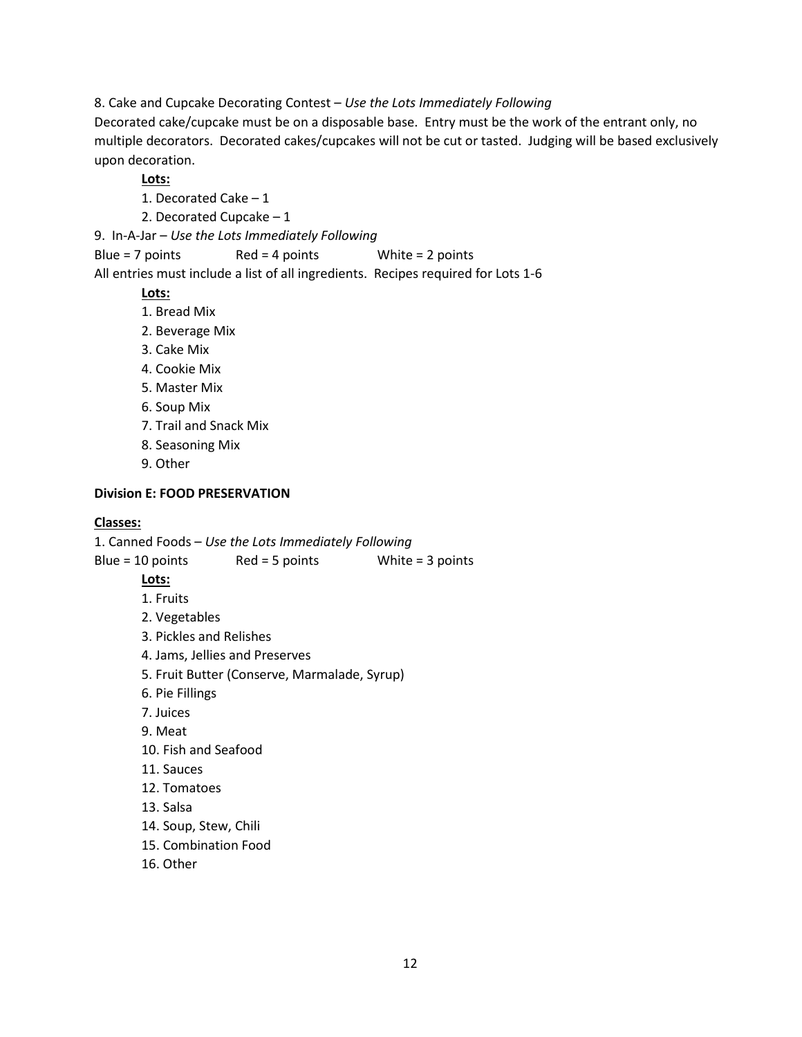8. Cake and Cupcake Decorating Contest – *Use the Lots Immediately Following*

Decorated cake/cupcake must be on a disposable base. Entry must be the work of the entrant only, no multiple decorators. Decorated cakes/cupcakes will not be cut or tasted. Judging will be based exclusively upon decoration.

## **Lots:**

1. Decorated Cake – 1

2. Decorated Cupcake – 1

9. In-A-Jar – *Use the Lots Immediately Following*

Blue = 7 points Red = 4 points White = 2 points

All entries must include a list of all ingredients. Recipes required for Lots 1-6

# **Lots:**

- 1. Bread Mix
- 2. Beverage Mix
- 3. Cake Mix
- 4. Cookie Mix
- 5. Master Mix
- 6. Soup Mix
- 7. Trail and Snack Mix
- 8. Seasoning Mix
- 9. Other

## **Division E: FOOD PRESERVATION**

## **Classes:**

1. Canned Foods – *Use the Lots Immediately Following*

Blue = 10 points Red = 5 points White = 3 points

# **Lots:**

1. Fruits

2. Vegetables

- 3. Pickles and Relishes
- 4. Jams, Jellies and Preserves
- 5. Fruit Butter (Conserve, Marmalade, Syrup)
- 6. Pie Fillings
- 7. Juices
- 9. Meat
- 10. Fish and Seafood
- 11. Sauces
- 12. Tomatoes
- 13. Salsa
- 14. Soup, Stew, Chili
- 15. Combination Food
- 16. Other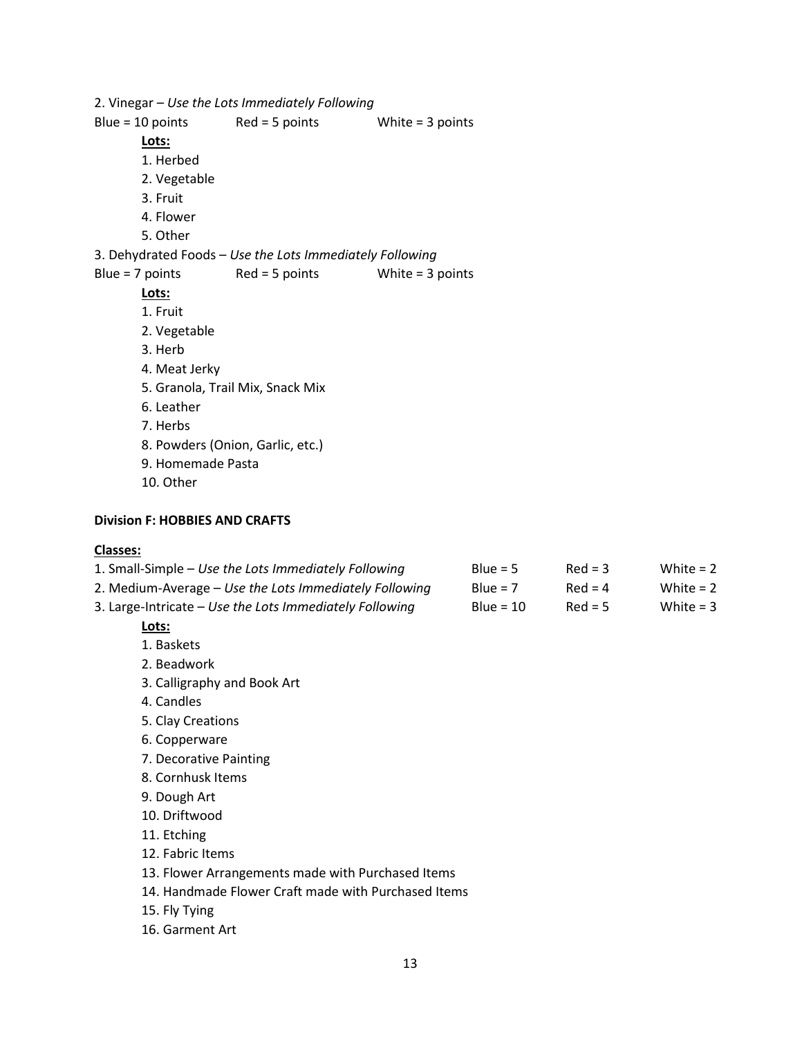2. Vinegar – *Use the Lots Immediately Following* Blue =  $10$  points Red = 5 points White = 3 points **Lots:** 1. Herbed 2. Vegetable 3. Fruit 4. Flower 5. Other 3. Dehydrated Foods – *Use the Lots Immediately Following* Blue = 7 points Red = 5 points White = 3 points **Lots:** 1. Fruit 2. Vegetable 3. Herb 4. Meat Jerky 5. Granola, Trail Mix, Snack Mix 6. Leather 7. Herbs 8. Powders (Onion, Garlic, etc.) 9. Homemade Pasta 10. Other

### **Division F: HOBBIES AND CRAFTS**

### **Classes:**

| 1. Small-Simple – Use the Lots Immediately Following    | Blue = $5$  | $Red = 3$ | White $= 2$ |
|---------------------------------------------------------|-------------|-----------|-------------|
| 2. Medium-Average – Use the Lots Immediately Following  | Blue = $7$  | $Red = 4$ | White = $2$ |
| 3. Large-Intricate – Use the Lots Immediately Following | Blue = $10$ | $Red = 5$ | White = $3$ |
| Lots:                                                   |             |           |             |

# 1. Baskets

- 2. Beadwork
- 3. Calligraphy and Book Art
- 4. Candles
- 5. Clay Creations
- 6. Copperware
- 7. Decorative Painting
- 8. Cornhusk Items
- 9. Dough Art
- 10. Driftwood
- 11. Etching
- 12. Fabric Items
- 13. Flower Arrangements made with Purchased Items
- 14. Handmade Flower Craft made with Purchased Items
- 15. Fly Tying
- 16. Garment Art

13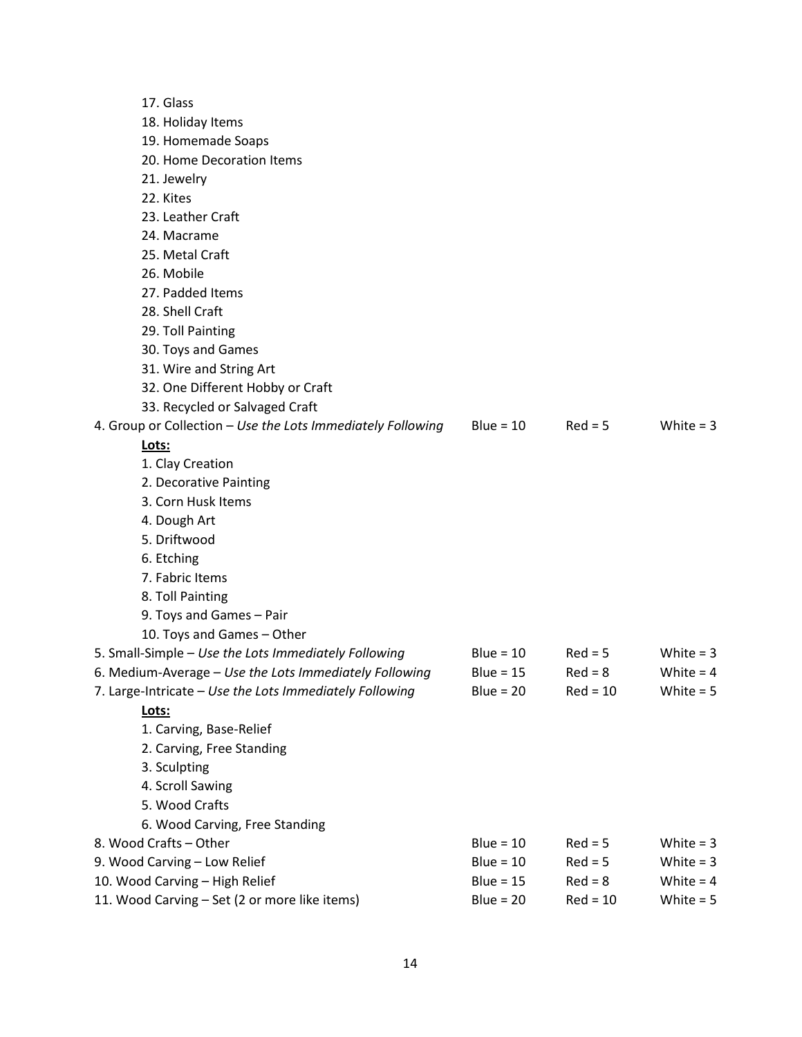| 17. Glass                                                   |             |            |             |
|-------------------------------------------------------------|-------------|------------|-------------|
| 18. Holiday Items                                           |             |            |             |
| 19. Homemade Soaps                                          |             |            |             |
| 20. Home Decoration Items                                   |             |            |             |
| 21. Jewelry                                                 |             |            |             |
| 22. Kites                                                   |             |            |             |
| 23. Leather Craft                                           |             |            |             |
| 24. Macrame                                                 |             |            |             |
| 25. Metal Craft                                             |             |            |             |
| 26. Mobile                                                  |             |            |             |
| 27. Padded Items                                            |             |            |             |
| 28. Shell Craft                                             |             |            |             |
| 29. Toll Painting                                           |             |            |             |
| 30. Toys and Games                                          |             |            |             |
| 31. Wire and String Art                                     |             |            |             |
| 32. One Different Hobby or Craft                            |             |            |             |
| 33. Recycled or Salvaged Craft                              |             |            |             |
| 4. Group or Collection - Use the Lots Immediately Following | Blue = $10$ | $Red = 5$  | White $=$ 3 |
| Lots:                                                       |             |            |             |
| 1. Clay Creation                                            |             |            |             |
| 2. Decorative Painting                                      |             |            |             |
| 3. Corn Husk Items                                          |             |            |             |
| 4. Dough Art                                                |             |            |             |
| 5. Driftwood                                                |             |            |             |
| 6. Etching                                                  |             |            |             |
| 7. Fabric Items                                             |             |            |             |
| 8. Toll Painting                                            |             |            |             |
| 9. Toys and Games - Pair                                    |             |            |             |
| 10. Toys and Games - Other                                  |             |            |             |
| 5. Small-Simple - Use the Lots Immediately Following        | Blue = $10$ | $Red = 5$  | White $= 3$ |
| 6. Medium-Average - Use the Lots Immediately Following      | Blue = $15$ | $Red = 8$  | White $=$ 4 |
| 7. Large-Intricate - Use the Lots Immediately Following     | Blue = $20$ | $Red = 10$ | White $= 5$ |
| Lots:                                                       |             |            |             |
| 1. Carving, Base-Relief                                     |             |            |             |
| 2. Carving, Free Standing                                   |             |            |             |
| 3. Sculpting                                                |             |            |             |
| 4. Scroll Sawing                                            |             |            |             |
| 5. Wood Crafts                                              |             |            |             |
| 6. Wood Carving, Free Standing                              |             |            |             |
| 8. Wood Crafts - Other                                      | Blue = $10$ | $Red = 5$  | White $= 3$ |
| 9. Wood Carving - Low Relief                                | $Blue = 10$ | $Red = 5$  | White $=$ 3 |
| 10. Wood Carving - High Relief                              | Blue = $15$ | $Red = 8$  | White $= 4$ |
| 11. Wood Carving - Set (2 or more like items)               | $Blue = 20$ | $Red = 10$ | White $= 5$ |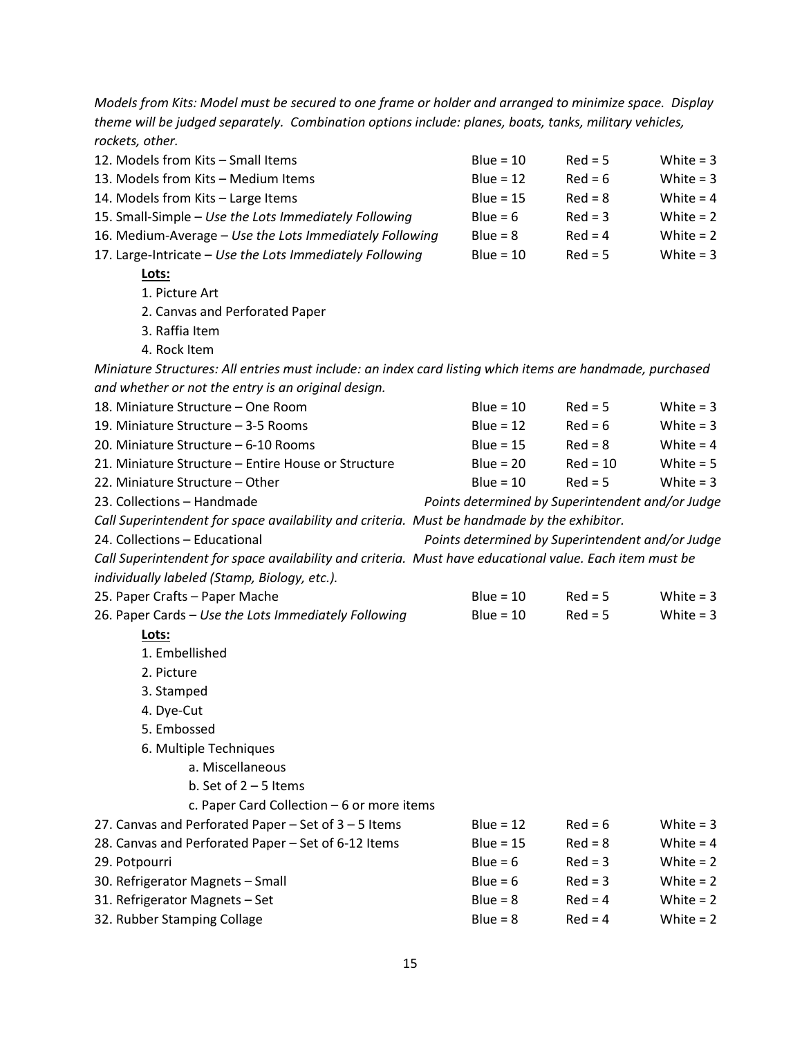*Models from Kits: Model must be secured to one frame or holder and arranged to minimize space. Display theme will be judged separately. Combination options include: planes, boats, tanks, military vehicles, rockets, other.*

| 12. Models from Kits - Small Items                                                                        | Blue = $10$                                      | $Red = 5$                | White $=$ 3 |  |  |  |
|-----------------------------------------------------------------------------------------------------------|--------------------------------------------------|--------------------------|-------------|--|--|--|
| 13. Models from Kits - Medium Items                                                                       | Blue = $12$                                      | $Red = 6$                | White $=$ 3 |  |  |  |
| 14. Models from Kits - Large Items                                                                        | Blue = $15$                                      | $Red = 8$                | White $= 4$ |  |  |  |
| 15. Small-Simple - Use the Lots Immediately Following                                                     | Blue = $6$                                       | $Red = 3$                | White $= 2$ |  |  |  |
| 16. Medium-Average - Use the Lots Immediately Following                                                   | $Blue = 8$                                       | $Red = 4$                | White $= 2$ |  |  |  |
| 17. Large-Intricate - Use the Lots Immediately Following                                                  | Blue = $10$                                      | $Red = 5$                | White $= 3$ |  |  |  |
| Lots:                                                                                                     |                                                  |                          |             |  |  |  |
| 1. Picture Art                                                                                            |                                                  |                          |             |  |  |  |
| 2. Canvas and Perforated Paper                                                                            |                                                  |                          |             |  |  |  |
| 3. Raffia Item                                                                                            |                                                  |                          |             |  |  |  |
| 4. Rock Item                                                                                              |                                                  |                          |             |  |  |  |
| Miniature Structures: All entries must include: an index card listing which items are handmade, purchased |                                                  |                          |             |  |  |  |
| and whether or not the entry is an original design.                                                       |                                                  |                          |             |  |  |  |
| 18. Miniature Structure - One Room                                                                        | Blue = $10$                                      | $Red = 5$                | White $= 3$ |  |  |  |
| 19. Miniature Structure - 3-5 Rooms                                                                       | Blue = $12$                                      | $Red = 6$                | White $=$ 3 |  |  |  |
| 20. Miniature Structure - 6-10 Rooms                                                                      | Blue = $15$                                      | $Red = 8$                | White $= 4$ |  |  |  |
| 21. Miniature Structure - Entire House or Structure                                                       | Blue = $20$                                      | $Red = 10$               | White $= 5$ |  |  |  |
| 22. Miniature Structure - Other                                                                           | Blue = $10$                                      | $Red = 5$<br>White $= 3$ |             |  |  |  |
| 23. Collections - Handmade                                                                                | Points determined by Superintendent and/or Judge |                          |             |  |  |  |
| Call Superintendent for space availability and criteria. Must be handmade by the exhibitor.               |                                                  |                          |             |  |  |  |
| 24. Collections - Educational                                                                             | Points determined by Superintendent and/or Judge |                          |             |  |  |  |
| Call Superintendent for space availability and criteria. Must have educational value. Each item must be   |                                                  |                          |             |  |  |  |
| individually labeled (Stamp, Biology, etc.).                                                              |                                                  |                          |             |  |  |  |
| 25. Paper Crafts - Paper Mache                                                                            | Blue = $10$                                      | $Red = 5$                | White $=$ 3 |  |  |  |
| 26. Paper Cards - Use the Lots Immediately Following                                                      | $Blue = 10$                                      | $Red = 5$                | White $= 3$ |  |  |  |
| Lots:                                                                                                     |                                                  |                          |             |  |  |  |
| 1. Embellished                                                                                            |                                                  |                          |             |  |  |  |
| 2. Picture                                                                                                |                                                  |                          |             |  |  |  |
| 3. Stamped                                                                                                |                                                  |                          |             |  |  |  |
| 4. Dye-Cut                                                                                                |                                                  |                          |             |  |  |  |
| 5. Embossed                                                                                               |                                                  |                          |             |  |  |  |
| 6. Multiple Techniques                                                                                    |                                                  |                          |             |  |  |  |
| a. Miscellaneous                                                                                          |                                                  |                          |             |  |  |  |
| b. Set of $2 - 5$ Items                                                                                   |                                                  |                          |             |  |  |  |
| c. Paper Card Collection - 6 or more items                                                                |                                                  |                          |             |  |  |  |
| 27. Canvas and Perforated Paper - Set of 3 - 5 Items                                                      | Blue = $12$                                      | $Red = 6$                | White $= 3$ |  |  |  |
| 28. Canvas and Perforated Paper - Set of 6-12 Items                                                       | Blue = $15$                                      | $Red = 8$                | White $= 4$ |  |  |  |
| 29. Potpourri                                                                                             | Blue = $6$                                       | $Red = 3$                | White $= 2$ |  |  |  |
| 30. Refrigerator Magnets - Small                                                                          | Blue = $6$                                       | $Red = 3$                | White $= 2$ |  |  |  |
| 31. Refrigerator Magnets - Set                                                                            | $Blue = 8$                                       | $Red = 4$                | White $= 2$ |  |  |  |
| 32. Rubber Stamping Collage                                                                               | $Blue = 8$                                       | $Red = 4$                | White $= 2$ |  |  |  |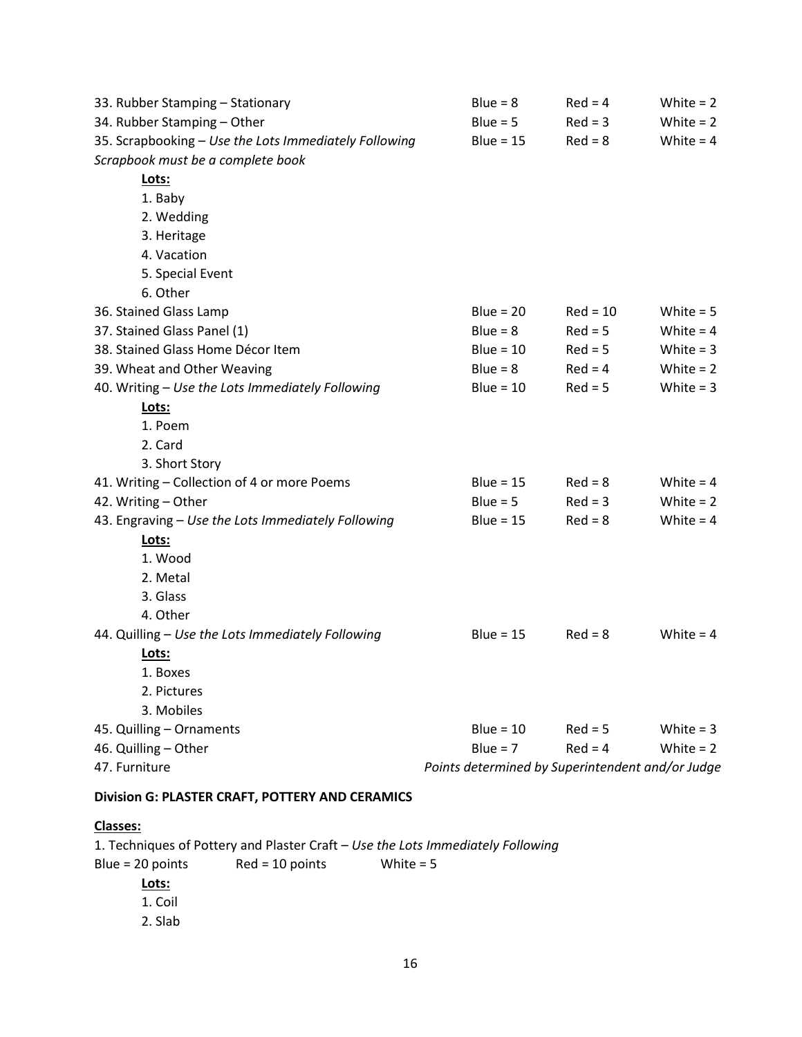| 33. Rubber Stamping - Stationary                      | $Blue = 8$                                       | $Red = 4$  | White $= 2$ |
|-------------------------------------------------------|--------------------------------------------------|------------|-------------|
| 34. Rubber Stamping - Other                           | $Blue = 5$                                       | $Red = 3$  | White $= 2$ |
| 35. Scrapbooking - Use the Lots Immediately Following | Blue = $15$                                      | $Red = 8$  | White = $4$ |
| Scrapbook must be a complete book                     |                                                  |            |             |
| Lots:                                                 |                                                  |            |             |
| 1. Baby                                               |                                                  |            |             |
| 2. Wedding                                            |                                                  |            |             |
| 3. Heritage                                           |                                                  |            |             |
| 4. Vacation                                           |                                                  |            |             |
| 5. Special Event                                      |                                                  |            |             |
| 6. Other                                              |                                                  |            |             |
| 36. Stained Glass Lamp                                | Blue = $20$                                      | $Red = 10$ | White $= 5$ |
| 37. Stained Glass Panel (1)                           | $Blue = 8$                                       | $Red = 5$  | White $= 4$ |
| 38. Stained Glass Home Décor Item                     | Blue = $10$                                      | $Red = 5$  | White $= 3$ |
| 39. Wheat and Other Weaving                           | $Blue = 8$                                       | $Red = 4$  | White $= 2$ |
| 40. Writing - Use the Lots Immediately Following      | Blue = $10$                                      | $Red = 5$  | White $= 3$ |
| Lots:                                                 |                                                  |            |             |
| 1. Poem                                               |                                                  |            |             |
| 2. Card                                               |                                                  |            |             |
| 3. Short Story                                        |                                                  |            |             |
| 41. Writing - Collection of 4 or more Poems           | Blue = $15$                                      | $Red = 8$  | White $= 4$ |
| 42. Writing - Other                                   | Blue = $5$                                       | $Red = 3$  | White $= 2$ |
| 43. Engraving - Use the Lots Immediately Following    | Blue = $15$                                      | $Red = 8$  | White $= 4$ |
| Lots:                                                 |                                                  |            |             |
| 1. Wood                                               |                                                  |            |             |
| 2. Metal                                              |                                                  |            |             |
| 3. Glass                                              |                                                  |            |             |
| 4. Other                                              |                                                  |            |             |
| 44. Quilling - Use the Lots Immediately Following     | Blue = $15$                                      | $Red = 8$  | White $= 4$ |
| Lots:                                                 |                                                  |            |             |
| 1. Boxes                                              |                                                  |            |             |
| 2. Pictures                                           |                                                  |            |             |
| 3. Mobiles                                            |                                                  |            |             |
| 45. Quilling - Ornaments                              | Blue = $10$                                      | $Red = 5$  | White $=$ 3 |
| 46. Quilling - Other                                  | $Blue = 7$                                       | $Red = 4$  | White $= 2$ |
| 47. Furniture                                         | Points determined by Superintendent and/or Judge |            |             |
| Division G: PLASTER CRAFT, POTTERY AND CERAMICS       |                                                  |            |             |

### **Classes:**

1. Techniques of Pottery and Plaster Craft – *Use the Lots Immediately Following* Blue = 20 points Red = 10 points White =  $5$ **Lots:** 1. Coil 2. Slab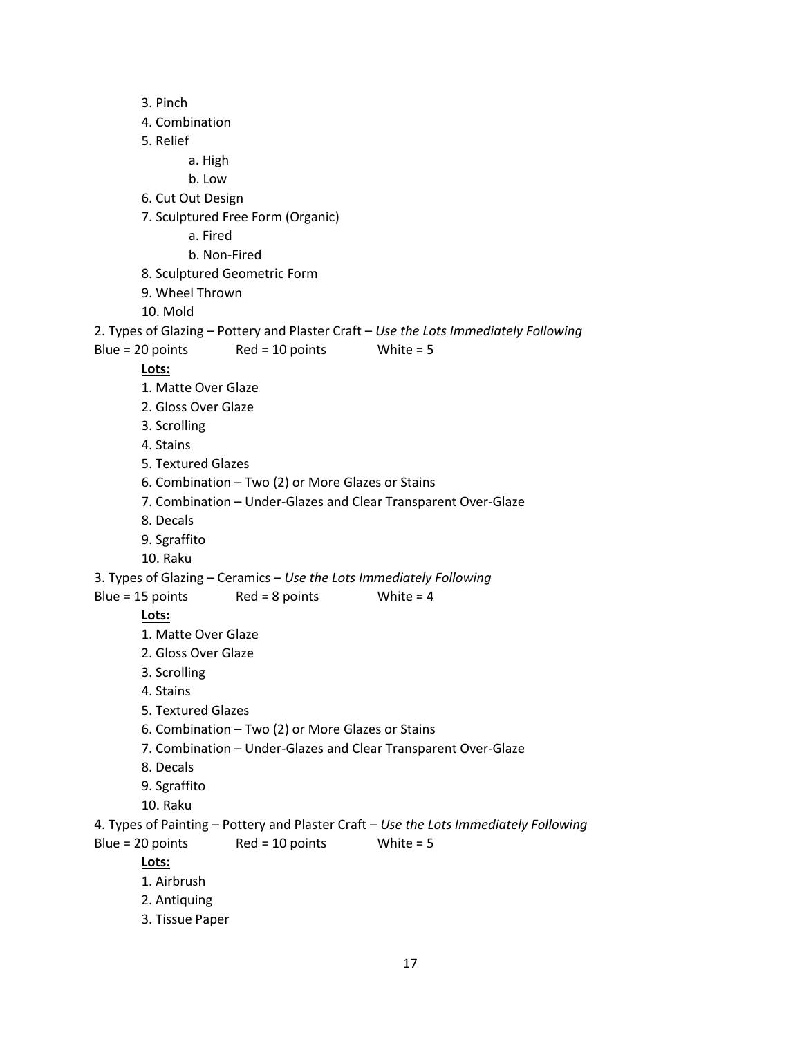3. Pinch 4. Combination 5. Relief a. High b. Low 6. Cut Out Design 7. Sculptured Free Form (Organic) a. Fired b. Non-Fired 8. Sculptured Geometric Form 9. Wheel Thrown 10. Mold 2. Types of Glazing – Pottery and Plaster Craft – *Use the Lots Immediately Following* Blue = 20 points Red =  $10$  points White =  $5$ **Lots:** 1. Matte Over Glaze 2. Gloss Over Glaze 3. Scrolling 4. Stains 5. Textured Glazes 6. Combination – Two (2) or More Glazes or Stains 7. Combination – Under-Glazes and Clear Transparent Over-Glaze 8. Decals 9. Sgraffito 10. Raku 3. Types of Glazing – Ceramics – *Use the Lots Immediately Following* Blue = 15 points Red = 8 points White =  $4$ **Lots:** 1. Matte Over Glaze 2. Gloss Over Glaze 3. Scrolling 4. Stains 5. Textured Glazes 6. Combination – Two (2) or More Glazes or Stains 7. Combination – Under-Glazes and Clear Transparent Over-Glaze 8. Decals 9. Sgraffito 10. Raku 4. Types of Painting – Pottery and Plaster Craft – *Use the Lots Immediately Following* Blue =  $20$  points Red =  $10$  points White =  $5$ **Lots:** 1. Airbrush 2. Antiquing 3. Tissue Paper